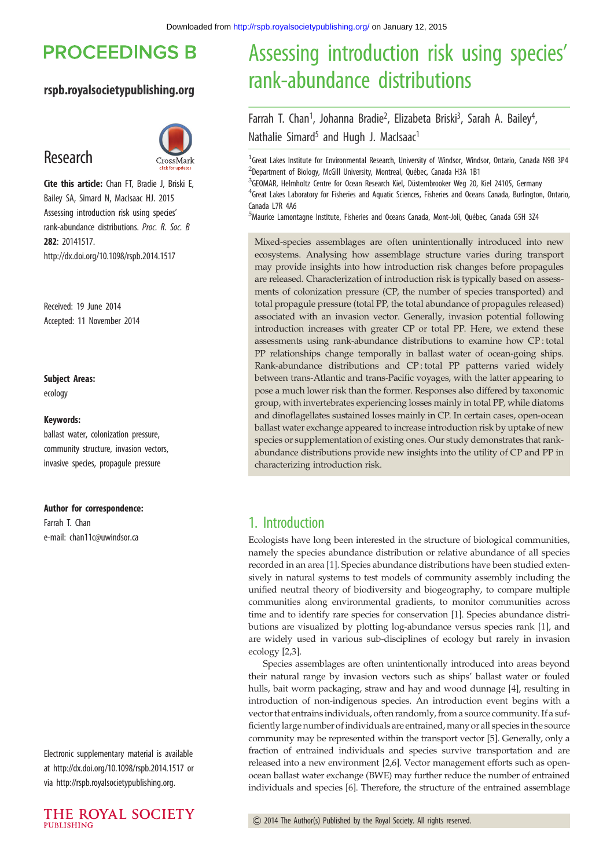## **PROCEEDINGS B**

#### rspb.royalsocietypublishing.org

## Research



Cite this article: Chan FT, Bradie J, Briski E, Bailey SA, Simard N, MacIsaac HJ. 2015 Assessing introduction risk using species' rank-abundance distributions. Proc. R. Soc. B 282: 20141517. http://dx.doi.org/10.1098/rspb.2014.1517

Received: 19 June 2014 Accepted: 11 November 2014

#### Subject Areas:

ecology

#### Keywords:

ballast water, colonization pressure, community structure, invasion vectors, invasive species, propagule pressure

#### Author for correspondence:

Farrah T. Chan e-mail: [chan11c@uwindsor.ca](mailto:chan11c@uwindsor.ca)

Electronic supplementary material is available at<http://dx.doi.org/10.1098/rspb.2014.1517> or via<http://rspb.royalsocietypublishing.org>.



# Assessing introduction risk using species' rank-abundance distributions

Farrah T. Chan<sup>1</sup>, Johanna Bradie<sup>2</sup>, Elizabeta Briski<sup>3</sup>, Sarah A. Bailey<sup>4</sup> .<br>, Nathalie Simard<sup>5</sup> and Hugh J. MacIsaac<sup>1</sup>

<sup>1</sup>Great Lakes Institute for Environmental Research, University of Windsor, Windsor, Ontario, Canada N9B 3P4  $2$ Department of Biology, McGill University, Montreal, Québec, Canada H3A 1B1

<sup>3</sup>GEOMAR, Helmholtz Centre for Ocean Research Kiel, Düsternbrooker Weg 20, Kiel 24105, Germany <sup>4</sup> Great Lakes Laboratory for Fisheries and Aquatic Sciences, Fisheries and Oceans Canada, Burlington, Ontario, Canada L7R 4A6

<sup>5</sup>Maurice Lamontagne Institute, Fisheries and Oceans Canada, Mont-Joli, Québec, Canada G5H 3Z4

Mixed-species assemblages are often unintentionally introduced into new ecosystems. Analysing how assemblage structure varies during transport may provide insights into how introduction risk changes before propagules are released. Characterization of introduction risk is typically based on assessments of colonization pressure (CP, the number of species transported) and total propagule pressure (total PP, the total abundance of propagules released) associated with an invasion vector. Generally, invasion potential following introduction increases with greater CP or total PP. Here, we extend these assessments using rank-abundance distributions to examine how CP : total PP relationships change temporally in ballast water of ocean-going ships. Rank-abundance distributions and CP : total PP patterns varied widely between trans-Atlantic and trans-Pacific voyages, with the latter appearing to pose a much lower risk than the former. Responses also differed by taxonomic group, with invertebrates experiencing losses mainly in total PP, while diatoms and dinoflagellates sustained losses mainly in CP. In certain cases, open-ocean ballast water exchange appeared to increase introduction risk by uptake of new species or supplementation of existing ones. Our study demonstrates that rankabundance distributions provide new insights into the utility of CP and PP in characterizing introduction risk.

## 1. Introduction

Ecologists have long been interested in the structure of biological communities, namely the species abundance distribution or relative abundance of all species recorded in an area [[1](#page-9-0)]. Species abundance distributions have been studied extensively in natural systems to test models of community assembly including the unified neutral theory of biodiversity and biogeography, to compare multiple communities along environmental gradients, to monitor communities across time and to identify rare species for conservation [\[1\]](#page-9-0). Species abundance distributions are visualized by plotting log-abundance versus species rank [[1](#page-9-0)], and are widely used in various sub-disciplines of ecology but rarely in invasion ecology [\[2,3](#page-9-0)].

Species assemblages are often unintentionally introduced into areas beyond their natural range by invasion vectors such as ships' ballast water or fouled hulls, bait worm packaging, straw and hay and wood dunnage [[4](#page-9-0)], resulting in introduction of non-indigenous species. An introduction event begins with a vector that entrains individuals, often randomly, from a source community. If a sufficiently large number of individuals are entrained,many or all species in the source community may be represented within the transport vector [\[5\]](#page-9-0). Generally, only a fraction of entrained individuals and species survive transportation and are released into a new environment [[2,6](#page-9-0)]. Vector management efforts such as openocean ballast water exchange (BWE) may further reduce the number of entrained individuals and species [\[6](#page-9-0)]. Therefore, the structure of the entrained assemblage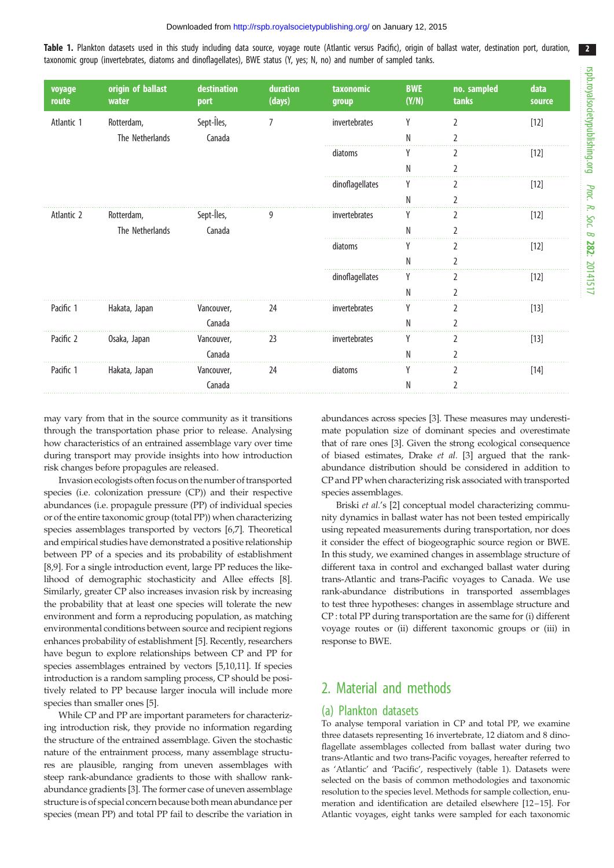Table 1. Plankton datasets used in this study including data source, voyage route (Atlantic versus Pacific), origin of ballast water, destination port, duration, taxonomic group (invertebrates, diatoms and dinoflagellates), BWE status (Y, yes; N, no) and number of sampled tanks.

| voyage<br>route | origin of ballast<br>water | destination<br>port | duration<br>(days) | taxonomic<br>group | <b>BWE</b><br>(Y/N) | no. sampled<br>tanks | data<br>source |
|-----------------|----------------------------|---------------------|--------------------|--------------------|---------------------|----------------------|----------------|
| Atlantic 1      | Rotterdam,                 | Sept-Îles,          | 7                  | invertebrates      | Υ                   | 2                    | $[12]$         |
|                 | The Netherlands            | Canada              |                    |                    | Ν                   |                      |                |
|                 |                            |                     |                    | diatoms            |                     |                      | $[12]$         |
|                 |                            |                     |                    |                    | N                   | $\mathfrak{p}$       |                |
|                 |                            |                     |                    | dinoflagellates    |                     | 2                    | $[12]$         |
|                 |                            |                     |                    |                    | N                   |                      |                |
| Atlantic 2      | Rotterdam,                 | Sept-Iles,          | 9                  | invertebrates      |                     | 2                    | $[12]$         |
|                 | The Netherlands            | Canada              |                    |                    | Ν                   | 7                    |                |
|                 |                            |                     |                    | diatoms            |                     | 2                    | $[12]$         |
|                 |                            |                     |                    |                    | N                   | $\mathfrak{D}$       |                |
|                 |                            |                     |                    | dinoflagellates    |                     | 2                    | $[12]$         |
|                 |                            |                     |                    |                    | N                   |                      |                |
| Pacific 1       | Hakata, Japan              | Vancouver,          | 24                 | invertebrates      |                     | 2                    | $[13]$         |
|                 |                            | Canada              |                    |                    |                     |                      |                |
| Pacific 2       | Osaka, Japan               | Vancouver,          | 23                 | invertebrates      |                     | 2                    | $[13]$         |
|                 |                            | Canada              |                    |                    | N                   | $\mathfrak z$        |                |
| Pacific 1       | Hakata, Japan              | Vancouver,          | 24                 | diatoms            |                     | 2                    | $[14]$         |
|                 |                            | Canada              |                    |                    |                     |                      |                |

may vary from that in the source community as it transitions through the transportation phase prior to release. Analysing how characteristics of an entrained assemblage vary over time during transport may provide insights into how introduction risk changes before propagules are released.

Invasion ecologists often focus on the number of transported species (i.e. colonization pressure (CP)) and their respective abundances (i.e. propagule pressure (PP) of individual species or of the entire taxonomic group (total PP)) when characterizing species assemblages transported by vectors [\[6](#page-9-0),[7](#page-9-0)]. Theoretical and empirical studies have demonstrated a positive relationship between PP of a species and its probability of establishment [\[8,9](#page-9-0)]. For a single introduction event, large PP reduces the likelihood of demographic stochasticity and Allee effects [\[8](#page-9-0)]. Similarly, greater CP also increases invasion risk by increasing the probability that at least one species will tolerate the new environment and form a reproducing population, as matching environmental conditions between source and recipient regions enhances probability of establishment [\[5\]](#page-9-0). Recently, researchers have begun to explore relationships between CP and PP for species assemblages entrained by vectors [\[5](#page-9-0),[10](#page-9-0),[11](#page-9-0)]. If species introduction is a random sampling process, CP should be positively related to PP because larger inocula will include more species than smaller ones [[5\]](#page-9-0).

While CP and PP are important parameters for characterizing introduction risk, they provide no information regarding the structure of the entrained assemblage. Given the stochastic nature of the entrainment process, many assemblage structures are plausible, ranging from uneven assemblages with steep rank-abundance gradients to those with shallow rankabundance gradients [[3](#page-9-0)]. The former case of uneven assemblage structure is of special concern because both mean abundance per species (mean PP) and total PP fail to describe the variation in abundances across species [[3](#page-9-0)]. These measures may underestimate population size of dominant species and overestimate that of rare ones [\[3](#page-9-0)]. Given the strong ecological consequence of biased estimates, Drake et al. [\[3\]](#page-9-0) argued that the rankabundance distribution should be considered in addition to CP and PP when characterizing risk associated with transported species assemblages.

Briski et al.'s [[2](#page-9-0)] conceptual model characterizing community dynamics in ballast water has not been tested empirically using repeated measurements during transportation, nor does it consider the effect of biogeographic source region or BWE. In this study, we examined changes in assemblage structure of different taxa in control and exchanged ballast water during trans-Atlantic and trans-Pacific voyages to Canada. We use rank-abundance distributions in transported assemblages to test three hypotheses: changes in assemblage structure and CP : total PP during transportation are the same for (i) different voyage routes or (ii) different taxonomic groups or (iii) in response to BWE.

## 2. Material and methods

#### (a) Plankton datasets

To analyse temporal variation in CP and total PP, we examine three datasets representing 16 invertebrate, 12 diatom and 8 dinoflagellate assemblages collected from ballast water during two trans-Atlantic and two trans-Pacific voyages, hereafter referred to as 'Atlantic' and 'Pacific', respectively (table 1). Datasets were selected on the basis of common methodologies and taxonomic resolution to the species level. Methods for sample collection, enumeration and identification are detailed elsewhere [\[12](#page-9-0)–[15](#page-9-0)]. For Atlantic voyages, eight tanks were sampled for each taxonomic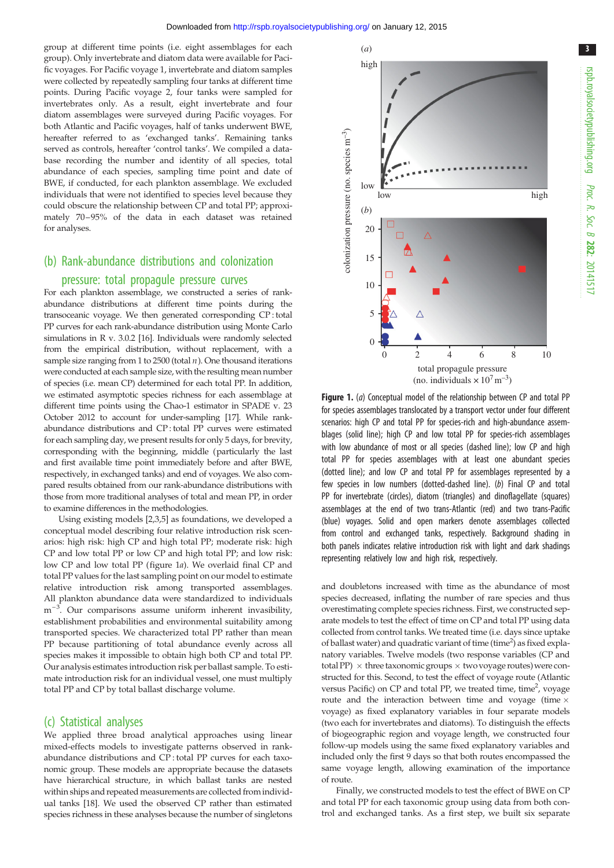<span id="page-2-0"></span>group at different time points (i.e. eight assemblages for each group). Only invertebrate and diatom data were available for Pacific voyages. For Pacific voyage 1, invertebrate and diatom samples were collected by repeatedly sampling four tanks at different time points. During Pacific voyage 2, four tanks were sampled for invertebrates only. As a result, eight invertebrate and four diatom assemblages were surveyed during Pacific voyages. For both Atlantic and Pacific voyages, half of tanks underwent BWE, hereafter referred to as 'exchanged tanks'. Remaining tanks served as controls, hereafter 'control tanks'. We compiled a database recording the number and identity of all species, total abundance of each species, sampling time point and date of BWE, if conducted, for each plankton assemblage. We excluded individuals that were not identified to species level because they could obscure the relationship between CP and total PP; approximately 70–95% of the data in each dataset was retained for analyses.

## (b) Rank-abundance distributions and colonization pressure: total propagule pressure curves

For each plankton assemblage, we constructed a series of rankabundance distributions at different time points during the transoceanic voyage. We then generated corresponding CP : total PP curves for each rank-abundance distribution using Monte Carlo simulations in R v. 3.0.2 [[16\]](#page-9-0). Individuals were randomly selected from the empirical distribution, without replacement, with a sample size ranging from 1 to 2500 (total  $n$ ). One thousand iterations were conducted at each sample size, with the resulting mean number of species (i.e. mean CP) determined for each total PP. In addition, we estimated asymptotic species richness for each assemblage at different time points using the Chao-1 estimator in SPADE v. 23 October 2012 to account for under-sampling [[17](#page-9-0)]. While rankabundance distributions and CP : total PP curves were estimated for each sampling day, we present results for only 5 days, for brevity, corresponding with the beginning, middle (particularly the last and first available time point immediately before and after BWE, respectively, in exchanged tanks) and end of voyages. We also compared results obtained from our rank-abundance distributions with those from more traditional analyses of total and mean PP, in order to examine differences in the methodologies.

Using existing models [[2,3,5\]](#page-9-0) as foundations, we developed a conceptual model describing four relative introduction risk scenarios: high risk: high CP and high total PP; moderate risk: high CP and low total PP or low CP and high total PP; and low risk: low CP and low total PP (figure 1a). We overlaid final CP and total PP values for the last sampling point on our model to estimate relative introduction risk among transported assemblages. All plankton abundance data were standardized to individuals  $m^{-3}$ . Our comparisons assume uniform inherent invasibility, establishment probabilities and environmental suitability among transported species. We characterized total PP rather than mean PP because partitioning of total abundance evenly across all species makes it impossible to obtain high both CP and total PP. Our analysis estimates introduction risk per ballast sample. To estimate introduction risk for an individual vessel, one must multiply total PP and CP by total ballast discharge volume.

#### (c) Statistical analyses

We applied three broad analytical approaches using linear mixed-effects models to investigate patterns observed in rankabundance distributions and CP : total PP curves for each taxonomic group. These models are appropriate because the datasets have hierarchical structure, in which ballast tanks are nested within ships and repeated measurements are collected fromindividual tanks [[18\]](#page-9-0). We used the observed CP rather than estimated species richness in these analyses because the number of singletons



3

Figure 1. (a) Conceptual model of the relationship between CP and total PP for species assemblages translocated by a transport vector under four different scenarios: high CP and total PP for species-rich and high-abundance assemblages (solid line); high CP and low total PP for species-rich assemblages with low abundance of most or all species (dashed line); low CP and high total PP for species assemblages with at least one abundant species (dotted line); and low CP and total PP for assemblages represented by a few species in low numbers (dotted-dashed line). (b) Final CP and total PP for invertebrate (circles), diatom (triangles) and dinoflagellate (squares) assemblages at the end of two trans-Atlantic (red) and two trans-Pacific (blue) voyages. Solid and open markers denote assemblages collected from control and exchanged tanks, respectively. Background shading in both panels indicates relative introduction risk with light and dark shadings representing relatively low and high risk, respectively.

and doubletons increased with time as the abundance of most species decreased, inflating the number of rare species and thus overestimating complete species richness. First, we constructed separate models to test the effect of time on CP and total PP using data collected from control tanks. We treated time (i.e. days since uptake of ballast water) and quadratic variant of time (time<sup>2</sup>) as fixed explanatory variables. Twelve models (two response variables (CP and total PP $) \times$  three taxonomic groups  $\times$  two voyage routes) were constructed for this. Second, to test the effect of voyage route (Atlantic versus Pacific) on CP and total PP, we treated time, time<sup>2</sup>, voyage route and the interaction between time and voyage (time  $\times$ voyage) as fixed explanatory variables in four separate models (two each for invertebrates and diatoms). To distinguish the effects of biogeographic region and voyage length, we constructed four follow-up models using the same fixed explanatory variables and included only the first 9 days so that both routes encompassed the same voyage length, allowing examination of the importance of route.

Finally, we constructed models to test the effect of BWE on CP and total PP for each taxonomic group using data from both control and exchanged tanks. As a first step, we built six separate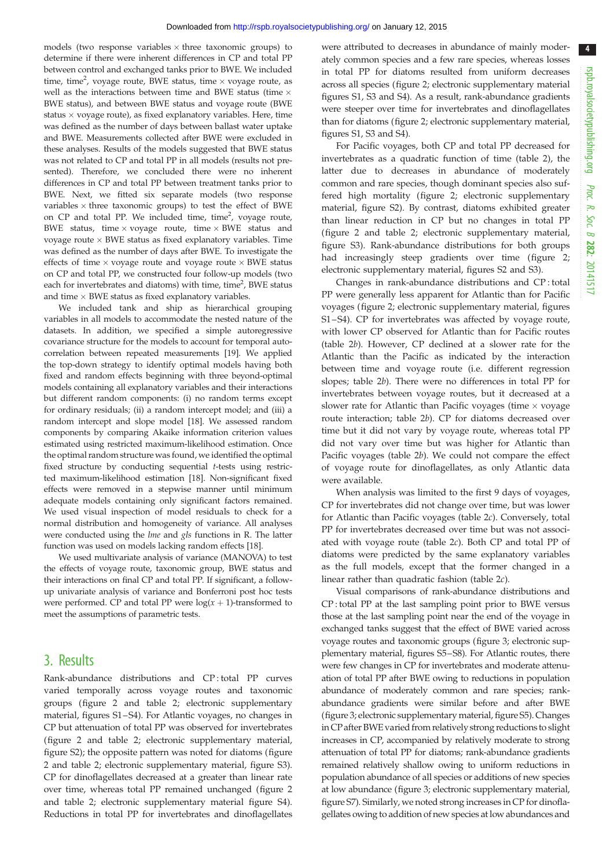4

models (two response variables  $\times$  three taxonomic groups) to determine if there were inherent differences in CP and total PP between control and exchanged tanks prior to BWE. We included time, time<sup>2</sup>, voyage route, BWE status, time  $\times$  voyage route, as well as the interactions between time and BWE status (time  $\times$ BWE status), and between BWE status and voyage route (BWE status  $\times$  voyage route), as fixed explanatory variables. Here, time was defined as the number of days between ballast water uptake and BWE. Measurements collected after BWE were excluded in these analyses. Results of the models suggested that BWE status was not related to CP and total PP in all models (results not presented). Therefore, we concluded there were no inherent differences in CP and total PP between treatment tanks prior to BWE. Next, we fitted six separate models (two response variables  $\times$  three taxonomic groups) to test the effect of BWE on CP and total PP. We included time, time<sup>2</sup>, voyage route, BWE status, time  $\times$  voyage route, time  $\times$  BWE status and voyage route  $\times$  BWE status as fixed explanatory variables. Time was defined as the number of days after BWE. To investigate the effects of time  $\times$  voyage route and voyage route  $\times$  BWE status on CP and total PP, we constructed four follow-up models (two each for invertebrates and diatoms) with time, time<sup>2</sup>, BWE status and time  $\times$  BWE status as fixed explanatory variables.

We included tank and ship as hierarchical grouping variables in all models to accommodate the nested nature of the datasets. In addition, we specified a simple autoregressive covariance structure for the models to account for temporal autocorrelation between repeated measurements [\[19\]](#page-9-0). We applied the top-down strategy to identify optimal models having both fixed and random effects beginning with three beyond-optimal models containing all explanatory variables and their interactions but different random components: (i) no random terms except for ordinary residuals; (ii) a random intercept model; and (iii) a random intercept and slope model [[18](#page-9-0)]. We assessed random components by comparing Akaike information criterion values estimated using restricted maximum-likelihood estimation. Once the optimal random structure was found, we identified the optimal fixed structure by conducting sequential t-tests using restricted maximum-likelihood estimation [[18](#page-9-0)]. Non-significant fixed effects were removed in a stepwise manner until minimum adequate models containing only significant factors remained. We used visual inspection of model residuals to check for a normal distribution and homogeneity of variance. All analyses were conducted using the lme and gls functions in R. The latter function was used on models lacking random effects [\[18](#page-9-0)].

We used multivariate analysis of variance (MANOVA) to test the effects of voyage route, taxonomic group, BWE status and their interactions on final CP and total PP. If significant, a followup univariate analysis of variance and Bonferroni post hoc tests were performed. CP and total PP were  $log(x + 1)$ -transformed to meet the assumptions of parametric tests.

### 3. Results

Rank-abundance distributions and CP : total PP curves varied temporally across voyage routes and taxonomic groups [\(figure 2](#page-4-0) and [table 2;](#page-5-0) electronic supplementary material, figures S1–S4). For Atlantic voyages, no changes in CP but attenuation of total PP was observed for invertebrates [\(figure 2](#page-4-0) and [table 2](#page-5-0); electronic supplementary material, figure S2); the opposite pattern was noted for diatoms ([figure](#page-4-0) [2](#page-4-0) and [table 2](#page-5-0); electronic supplementary material, figure S3). CP for dinoflagellates decreased at a greater than linear rate over time, whereas total PP remained unchanged [\(figure 2](#page-4-0) and [table 2;](#page-5-0) electronic supplementary material figure S4). Reductions in total PP for invertebrates and dinoflagellates

were attributed to decreases in abundance of mainly moderately common species and a few rare species, whereas losses in total PP for diatoms resulted from uniform decreases across all species [\(figure 2](#page-4-0); electronic supplementary material figures S1, S3 and S4). As a result, rank-abundance gradients were steeper over time for invertebrates and dinoflagellates than for diatoms [\(figure 2;](#page-4-0) electronic supplementary material, figures S1, S3 and S4).

For Pacific voyages, both CP and total PP decreased for invertebrates as a quadratic function of time [\(table 2](#page-5-0)), the latter due to decreases in abundance of moderately common and rare species, though dominant species also suffered high mortality [\(figure 2](#page-4-0); electronic supplementary material, figure S2). By contrast, diatoms exhibited greater than linear reduction in CP but no changes in total PP ([figure 2](#page-4-0) and [table 2;](#page-5-0) electronic supplementary material, figure S3). Rank-abundance distributions for both groups had increasingly steep gradients over time [\(figure 2](#page-4-0); electronic supplementary material, figures S2 and S3).

Changes in rank-abundance distributions and CP : total PP were generally less apparent for Atlantic than for Pacific voyages [\(figure 2;](#page-4-0) electronic supplementary material, figures S1 –S4). CP for invertebrates was affected by voyage route, with lower CP observed for Atlantic than for Pacific routes ([table 2](#page-5-0)b). However, CP declined at a slower rate for the Atlantic than the Pacific as indicated by the interaction between time and voyage route (i.e. different regression slopes; [table 2](#page-5-0)b). There were no differences in total PP for invertebrates between voyage routes, but it decreased at a slower rate for Atlantic than Pacific voyages (time  $\times$  voyage route interaction; [table 2](#page-5-0)b). CP for diatoms decreased over time but it did not vary by voyage route, whereas total PP did not vary over time but was higher for Atlantic than Pacific voyages [\(table 2](#page-5-0)b). We could not compare the effect of voyage route for dinoflagellates, as only Atlantic data were available.

When analysis was limited to the first 9 days of voyages, CP for invertebrates did not change over time, but was lower for Atlantic than Pacific voyages [\(table 2](#page-5-0)c). Conversely, total PP for invertebrates decreased over time but was not associated with voyage route [\(table 2](#page-5-0)c). Both CP and total PP of diatoms were predicted by the same explanatory variables as the full models, except that the former changed in a linear rather than quadratic fashion [\(table 2](#page-5-0)c).

Visual comparisons of rank-abundance distributions and CP : total PP at the last sampling point prior to BWE versus those at the last sampling point near the end of the voyage in exchanged tanks suggest that the effect of BWE varied across voyage routes and taxonomic groups [\(figure 3;](#page-6-0) electronic supplementary material, figures S5–S8). For Atlantic routes, there were few changes in CP for invertebrates and moderate attenuation of total PP after BWE owing to reductions in population abundance of moderately common and rare species; rankabundance gradients were similar before and after BWE ([figure 3;](#page-6-0) electronic supplementary material, figure S5). Changes in CP after BWE varied from relatively strong reductions to slight increases in CP, accompanied by relatively moderate to strong attenuation of total PP for diatoms; rank-abundance gradients remained relatively shallow owing to uniform reductions in population abundance of all species or additions of new species at low abundance [\(figure 3](#page-6-0); electronic supplementary material, figure S7). Similarly, we noted strong increases in CP for dinoflagellates owing to addition of new species at low abundances and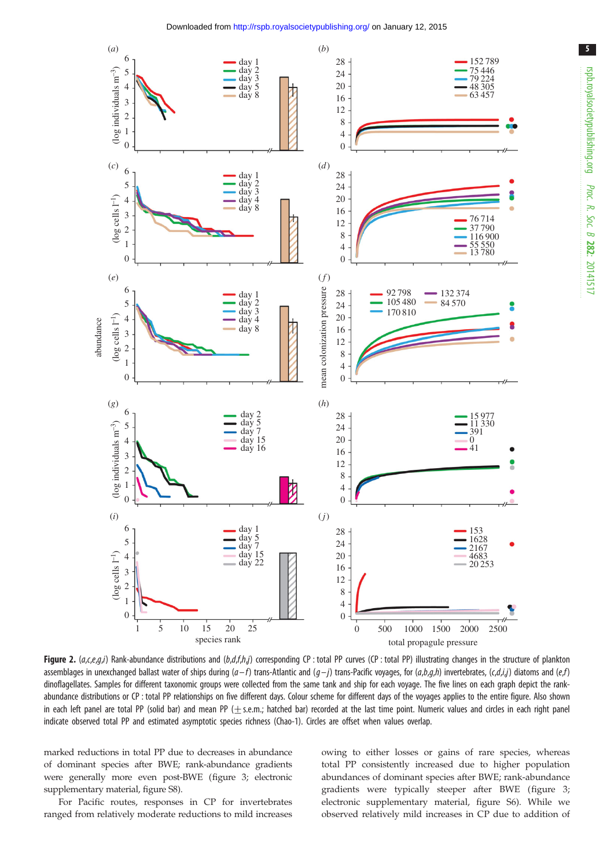<span id="page-4-0"></span>

Figure 2. ( $a, c, e, g, i$ ) Rank-abundance distributions and  $(b, d, f, h, j)$  corresponding CP : total PP curves (CP : total PP) illustrating changes in the structure of plankton assemblages in unexchanged ballast water of ships during  $(a-f)$  trans-Atlantic and  $(g-j)$  trans-Pacific voyages, for  $(a,b,g,h)$  invertebrates,  $(c,d,j)$  diatoms and  $(e,f)$ dinoflagellates. Samples for different taxonomic groups were collected from the same tank and ship for each voyage. The five lines on each graph depict the rankabundance distributions or CP : total PP relationships on five different days. Colour scheme for different days of the voyages applies to the entire figure. Also shown in each left panel are total PP (solid bar) and mean PP ( $\pm$  s.e.m.; hatched bar) recorded at the last time point. Numeric values and circles in each right panel indicate observed total PP and estimated asymptotic species richness (Chao-1). Circles are offset when values overlap.

marked reductions in total PP due to decreases in abundance of dominant species after BWE; rank-abundance gradients were generally more even post-BWE [\(figure 3;](#page-6-0) electronic supplementary material, figure S8).

For Pacific routes, responses in CP for invertebrates ranged from relatively moderate reductions to mild increases owing to either losses or gains of rare species, whereas total PP consistently increased due to higher population abundances of dominant species after BWE; rank-abundance gradients were typically steeper after BWE ([figure 3](#page-6-0); electronic supplementary material, figure S6). While we observed relatively mild increases in CP due to addition of rspb.royalsocietypublishing.org

Proc. R. Soc. $\sigma$ 

282: 20141517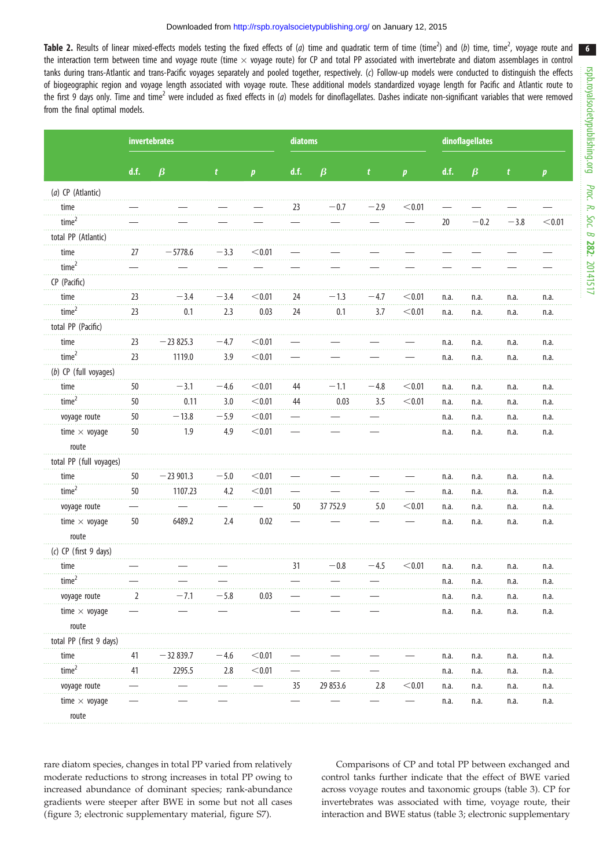#### Downloaded from<http://rspb.royalsocietypublishing.org/>on January 12, 2015

<span id="page-5-0"></span>Table 2. Results of linear mixed-effects models testing the fixed effects of (a) time and quadratic term of time (time<sup>2</sup>) and (b) time, time<sup>2</sup>, voyage route and the interaction term between time and voyage route (time  $\times$  voyage route) for CP and total PP associated with invertebrate and diatom assemblages in control tanks during trans-Atlantic and trans-Pacific voyages separately and pooled together, respectively. (c) Follow-up models were conducted to distinguish the effects of biogeographic region and voyage length associated with voyage route. These additional models standardized voyage length for Pacific and Atlantic route to the first 9 days only. Time and time<sup>2</sup> were included as fixed effects in (a) models for dinoflagellates. Dashes indicate non-significant variables that were removed from the final optimal models.

|                               | invertebrates |            |              |                  | diatoms |             |                  |                  | dinoflagellates |         |                  |           |
|-------------------------------|---------------|------------|--------------|------------------|---------|-------------|------------------|------------------|-----------------|---------|------------------|-----------|
|                               | d.f.          | $\beta$    | $\mathbf{t}$ | $\boldsymbol{p}$ | d.f.    | $\beta$     | $\boldsymbol{t}$ | $\boldsymbol{p}$ | d.f.            | $\beta$ | $\boldsymbol{t}$ | $\pmb{p}$ |
| (a) CP (Atlantic)             |               |            |              |                  |         |             |                  |                  |                 |         |                  |           |
| time                          |               |            |              |                  | 23      | $-0.7$      | $-2.9$           | < 0.01           |                 |         |                  |           |
| time <sup>2</sup>             |               |            |              |                  |         |             |                  |                  | 20              | $-0.2$  | $-3.8$           | < 0.01    |
| total PP (Atlantic)           |               |            |              |                  |         |             |                  |                  |                 |         |                  |           |
| time                          | 27            | $-5778.6$  | $-3.3$       | $<$ 0.01 $\,$    |         |             |                  |                  |                 |         |                  |           |
| time <sup>2</sup>             |               |            |              |                  |         |             |                  |                  |                 |         |                  |           |
| CP (Pacific)                  |               |            |              |                  |         |             |                  |                  |                 |         |                  |           |
| time                          | 23            | $-3.4$     | $-3.4$       | < 0.01           | 24      | $-1.3$      | $-4.7$           | < 0.01           | n.a.            | n.a.    | n.a.             | n.a.      |
| time <sup>2</sup>             | 23            | 0.1        | 2.3          | 0.03             | 24      | 0.1         | 3.7              | < 0.01           | n.a.            | n.a.    | n.a.             | n.a.      |
| total PP (Pacific)            |               |            |              |                  |         |             |                  |                  |                 |         |                  |           |
| time                          | 23            | $-23825.3$ | $-4.7$       | $<$ 0.01 $\,$    |         |             |                  |                  | n.a.            | n.a.    | n.a.             | n.a.      |
| time <sup>2</sup>             | 2222<br>23    | 1119.0     | 3.9          | < 0.01           |         |             |                  |                  | n.a.            | n.a.    | n.a.             | n.a.      |
| (b) CP (full voyages)         |               |            |              |                  |         |             |                  |                  |                 |         |                  |           |
| time                          | 50            | $-3.1$     | $-4.6$       | < 0.01           | 44      | $\cdot$ 1.1 | $-4.8$           | < 0.01           | n.a.            | n.a.    | n.a.             | n.a.      |
| time <sup>2</sup>             | 50            | 0.11       | 3.0          | < 0.01           | 44      | 0.03        | 3.5              | < 0.01           | n.a.            | n.a.    | n.a.             | n.a.      |
| voyage route                  | 50            | $-13.8$    | $-5.9$       | < 0.01           |         |             |                  |                  | n.a.            | n.a.    | n.a.             | n.a.      |
| time $\times$ voyage<br>route | 50            | 1.9        | $4.9\,$      | < 0.01           |         |             |                  |                  | n.a.            | n.a.    | n.a.             | n.a.      |
| total PP (full voyages)       |               |            |              |                  |         |             |                  |                  |                 |         |                  |           |
| time                          | 50            | $-23901.3$ | $-5.0$       | < 0.01           |         |             |                  |                  | n.a.            | n.a.    | n.a.             | n.a.      |
| time <sup>2</sup>             | 50            | 1107.23    | 4.2          | < 0.01           |         |             |                  |                  | n.a.            | n.a.    | n.a.             | n.a.      |
| voyage route                  |               |            |              |                  | 50      | 37 752.9    | 5.0              | < 0.01           | n.a.            | n.a.    | n.a.             | n.a.      |
| time $\times$ voyage<br>route | 50            | 6489.2     | 2.4          | 0.02             |         |             |                  |                  | n.a.            | n.a.    | n.a.             | n.a.      |
| $(c)$ CP (first 9 days)       |               |            |              |                  |         |             |                  |                  |                 |         |                  |           |
| time                          |               |            |              |                  | 31      | $-0.8$      | $-4.5$           | < 0.01           | n.a.            | n.a.    | n.a.             | n.a.      |
| time <sup>2</sup>             |               |            |              |                  |         |             |                  |                  | n.a.            | n.a.    | n.a.             | n.a.      |
| voyage route                  |               |            |              | 0.03             |         |             |                  |                  | n.a.            | n.a.    | n.a.             | n.a.      |
| time $\times$ voyage          |               |            |              |                  |         |             |                  |                  | n.a.            | n.a.    | n.a.             | n.a.      |
| route                         |               |            |              |                  |         |             |                  |                  |                 |         |                  |           |
| total PP (first 9 days)       |               |            |              |                  |         |             |                  |                  |                 |         |                  |           |
| time                          | 41            | - 32 839.7 | - 4.6        | $<$ 0.01 $\,$    |         |             |                  |                  | n.a.            | n.a.    | n.a.             | n.a.      |
| time <sup>2</sup>             | 41            | 2295.5     | 2.8          | $<$ 0.01 $\,$    |         |             |                  |                  | n.a.            | n.a.    | n.a.             | n.a.      |
| voyage route                  |               |            |              |                  | 35      | 29 853.6    | 2.8              | $<$ 0.01 $\,$    | n.a.            | n.a.    | n.a.             | n.a.      |
| time $\times$ voyage<br>route |               |            |              |                  |         |             |                  |                  | n.a.            | n.a.    | n.a.             | n.a.      |

rare diatom species, changes in total PP varied from relatively moderate reductions to strong increases in total PP owing to increased abundance of dominant species; rank-abundance gradients were steeper after BWE in some but not all cases [\(figure 3;](#page-6-0) electronic supplementary material, figure S7).

Comparisons of CP and total PP between exchanged and control tanks further indicate that the effect of BWE varied across voyage routes and taxonomic groups [\(table 3\)](#page-7-0). CP for invertebrates was associated with time, voyage route, their interaction and BWE status [\(table 3](#page-7-0); electronic supplementary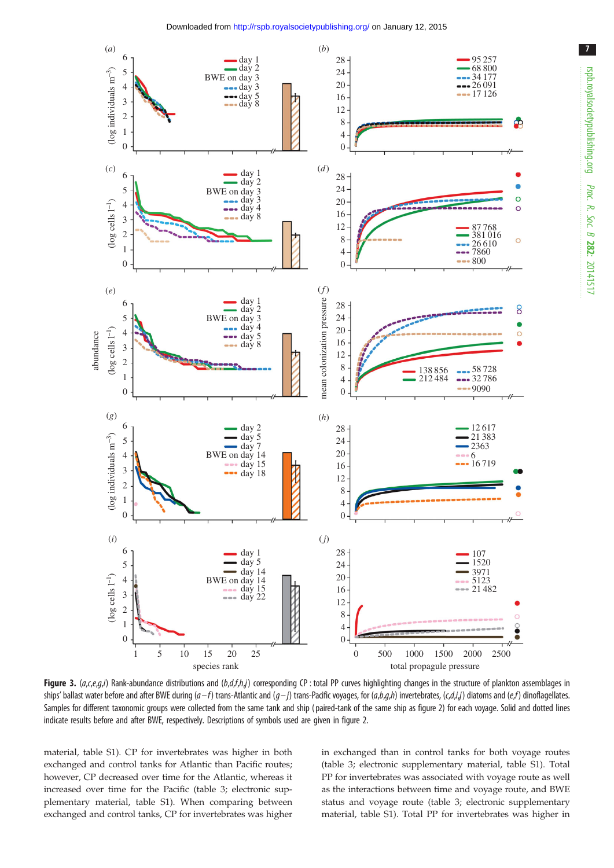<span id="page-6-0"></span>

Figure 3.  $(a, c, e, g, i)$  Rank-abundance distributions and  $(b, d, f, h, j)$  corresponding CP : total PP curves highlighting changes in the structure of plankton assemblages in ships' ballast water before and after BWE during  $(a-f)$  trans-Atlantic and  $(a-i)$  trans-Pacific voyages, for  $(a,b,a,h)$  invertebrates,  $(c,d,i,j)$  diatoms and  $(e,f)$  dinoflagellates. Samples for different taxonomic groups were collected from the same tank and ship (paired-tank of the same ship as [figure 2](#page-4-0)) for each voyage. Solid and dotted lines indicate results before and after BWE, respectively. Descriptions of symbols used are given in [figure 2](#page-4-0).

material, table S1). CP for invertebrates was higher in both exchanged and control tanks for Atlantic than Pacific routes; however, CP decreased over time for the Atlantic, whereas it increased over time for the Pacific ([table 3](#page-7-0); electronic supplementary material, table S1). When comparing between exchanged and control tanks, CP for invertebrates was higher in exchanged than in control tanks for both voyage routes ([table 3](#page-7-0); electronic supplementary material, table S1). Total PP for invertebrates was associated with voyage route as well as the interactions between time and voyage route, and BWE status and voyage route ([table 3;](#page-7-0) electronic supplementary material, table S1). Total PP for invertebrates was higher in rspb.royalsocietypublishing.org

Proc. R. Soc. $\sigma$ 

282: 20141517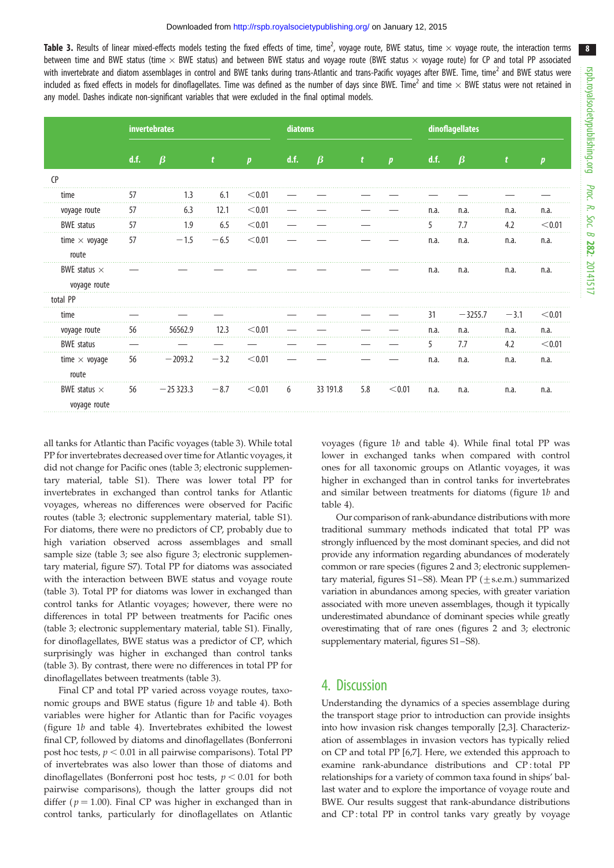<span id="page-7-0"></span>Table 3. Results of linear mixed-effects models testing the fixed effects of time, time<sup>2</sup>, voyage route, BWE status, time  $\times$  voyage route, the interaction terms between time and BWE status (time  $\times$  BWE status) and between BWE status and voyage route (BWE status  $\times$  voyage route) for CP and total PP associated with invertebrate and diatom assemblages in control and BWE tanks during trans-Atlantic and trans-Pacific voyages after BWE. Time, time<sup>2</sup> and BWE status were included as fixed effects in models for dinoflagellates. Time was defined as the number of days since BWE. Time<sup>2</sup> and time  $\times$  BWE status were not retained in any model. Dashes indicate non-significant variables that were excluded in the final optimal models.

|                                     | invertebrates |            |              |                  |      | diatoms  |              |                  |      | dinoflagellates |              |                  |  |
|-------------------------------------|---------------|------------|--------------|------------------|------|----------|--------------|------------------|------|-----------------|--------------|------------------|--|
|                                     | d.f.          | $\beta$    | $\mathbf{t}$ | $\boldsymbol{p}$ | d.f. | $\beta$  | $\mathbf{t}$ | $\boldsymbol{p}$ | d.f. | $\beta$         | $\mathbf{t}$ | $\boldsymbol{p}$ |  |
| CP                                  |               |            |              |                  |      |          |              |                  |      |                 |              |                  |  |
| time                                | 57            | 1.3        | 6.1          | < 0.01           |      |          |              |                  |      |                 |              |                  |  |
| voyage route                        | 57            | 6.3        | 12.1         | < 0.01           |      |          |              |                  | n.a. | n.a.            | n.a.         | n.a.             |  |
| <b>BWE</b> status                   | 57            | 1.9        | 6.5          | < 0.01           |      |          |              |                  | 5    | 7.7             | 4.2          | < 0.01           |  |
| time $\times$ voyage<br>route       | 57            | $-1.5$     | $-6.5$       | < 0.01           |      |          |              |                  | n.a. | n.a.            | n.a.         | n.a.             |  |
| BWE status $\times$<br>voyage route |               |            |              |                  |      |          |              |                  | n.a. | n.a.            | n.a.         | n.a.             |  |
| total PP                            |               |            |              |                  |      |          |              |                  |      |                 |              |                  |  |
| time                                |               |            |              |                  |      |          |              |                  | 31   | $-3255.7$       | $-3.1$       | < 0.01           |  |
| voyage route                        | 56            | 56562.9    | 12.3         | < 0.01           |      |          |              |                  | n.a. | n.a.            | n.a.         | n.a.             |  |
| <b>BWE</b> status                   |               |            |              |                  |      |          |              |                  | 5    | 7.7             | 4.2          | < 0.01           |  |
| time $\times$ voyage<br>route       | 56            | $-2093.2$  | $-3.2$       | < 0.01           |      |          |              |                  | n.a. | n.a.            | n.a.         | n.a.             |  |
| BWE status $\times$<br>voyage route | 56            | $-25323.3$ | $-8.7$       | < 0.01           | 6    | 33 191.8 | 5.8          | < 0.01           | n.a. | n.a.            | n.a.         | n.a.             |  |

all tanks for Atlantic than Pacific voyages (table 3). While total PP for invertebrates decreased over time for Atlantic voyages, it did not change for Pacific ones (table 3; electronic supplementary material, table S1). There was lower total PP for invertebrates in exchanged than control tanks for Atlantic voyages, whereas no differences were observed for Pacific routes (table 3; electronic supplementary material, table S1). For diatoms, there were no predictors of CP, probably due to high variation observed across assemblages and small sample size (table 3; see also [figure 3](#page-6-0); electronic supplementary material, figure S7). Total PP for diatoms was associated with the interaction between BWE status and voyage route (table 3). Total PP for diatoms was lower in exchanged than control tanks for Atlantic voyages; however, there were no differences in total PP between treatments for Pacific ones (table 3; electronic supplementary material, table S1). Finally, for dinoflagellates, BWE status was a predictor of CP, which surprisingly was higher in exchanged than control tanks (table 3). By contrast, there were no differences in total PP for dinoflagellates between treatments (table 3).

Final CP and total PP varied across voyage routes, taxonomic groups and BWE status ([figure 1](#page-2-0)b and [table 4\)](#page-8-0). Both variables were higher for Atlantic than for Pacific voyages [\(figure 1](#page-2-0)b and [table 4\)](#page-8-0). Invertebrates exhibited the lowest final CP, followed by diatoms and dinoflagellates (Bonferroni post hoc tests,  $p < 0.01$  in all pairwise comparisons). Total PP of invertebrates was also lower than those of diatoms and dinoflagellates (Bonferroni post hoc tests,  $p < 0.01$  for both pairwise comparisons), though the latter groups did not differ ( $p = 1.00$ ). Final CP was higher in exchanged than in control tanks, particularly for dinoflagellates on Atlantic

voyages [\(figure 1](#page-2-0)b and [table 4](#page-8-0)). While final total PP was lower in exchanged tanks when compared with control ones for all taxonomic groups on Atlantic voyages, it was higher in exchanged than in control tanks for invertebrates and similar between treatments for diatoms [\(figure 1](#page-2-0)b and [table 4](#page-8-0)).

Our comparison of rank-abundance distributions with more traditional summary methods indicated that total PP was strongly influenced by the most dominant species, and did not provide any information regarding abundances of moderately common or rare species (figures [2](#page-4-0) and [3](#page-6-0); electronic supplementary material, figures S1-S8). Mean PP ( $\pm$ s.e.m.) summarized variation in abundances among species, with greater variation associated with more uneven assemblages, though it typically underestimated abundance of dominant species while greatly overestimating that of rare ones (figures [2](#page-4-0) and [3;](#page-6-0) electronic supplementary material, figures S1–S8).

### 4. Discussion

Understanding the dynamics of a species assemblage during the transport stage prior to introduction can provide insights into how invasion risk changes temporally [\[2,3](#page-9-0)]. Characterization of assemblages in invasion vectors has typically relied on CP and total PP [\[6,7](#page-9-0)]. Here, we extended this approach to examine rank-abundance distributions and CP : total PP relationships for a variety of common taxa found in ships' ballast water and to explore the importance of voyage route and BWE. Our results suggest that rank-abundance distributions and CP: total PP in control tanks vary greatly by voyage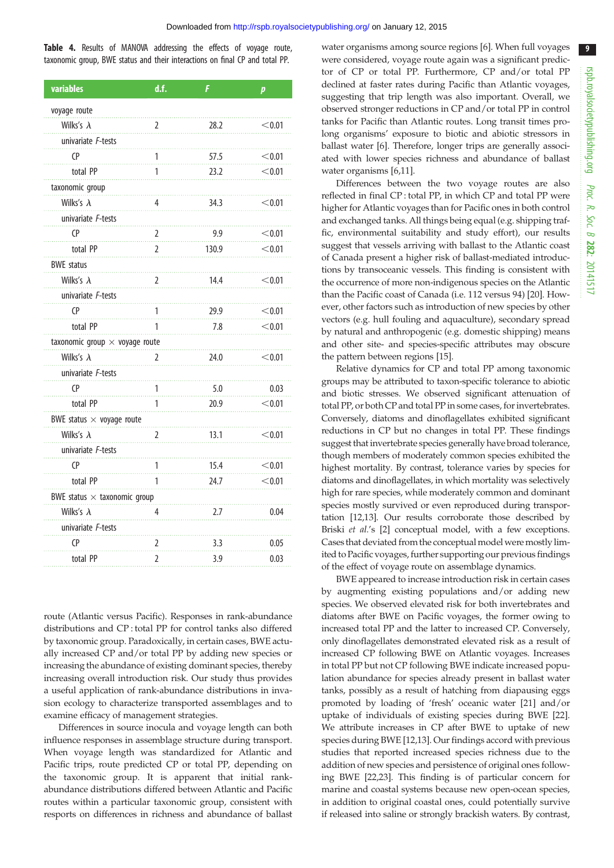<span id="page-8-0"></span>Table 4. Results of MANOVA addressing the effects of voyage route, taxonomic group, BWE status and their interactions on final CP and total PP.

| voyage route<br>Wilks's $\lambda$<br>28.2<br>2<br>univariate F-tests | $<$ 0.01<br>< 0.01<br>< 0.01 |
|----------------------------------------------------------------------|------------------------------|
|                                                                      |                              |
|                                                                      |                              |
|                                                                      |                              |
| (P<br>57.5<br>1                                                      |                              |
| total PP<br>1<br>23.2                                                |                              |
| taxonomic group                                                      |                              |
| Wilks's $\lambda$<br>34.3<br>4                                       | < 0.01                       |
| univariate F-tests                                                   |                              |
| CP<br>9.9<br>2                                                       | < 0.01                       |
| total PP<br>$\overline{2}$<br>130.9                                  | $<$ 0.01                     |
| <b>BWE</b> status                                                    |                              |
| Wilks's $\lambda$<br>14.4<br>$\overline{2}$                          | < 0.01                       |
| univariate F-tests                                                   |                              |
| (P<br>29.9<br>1                                                      | < 0.01                       |
| total PP<br>1<br>7.8                                                 | < 0.01                       |
| taxonomic group $\times$ voyage route                                |                              |
| Wilks's $\lambda$<br>$\overline{2}$<br>24.0                          | < 0.01                       |
| univariate F-tests                                                   |                              |
| <b>CP</b><br>5.0<br>1                                                | 0.03                         |
| total PP<br>1<br>20.9                                                | < 0.01                       |
| BWE status $\times$ voyage route                                     |                              |
| Wilks's $\lambda$<br>2<br>13.1                                       | < 0.01                       |
| univariate F-tests                                                   |                              |
| <b>CP</b><br>15.4<br>1                                               | < 0.01                       |
| total PP<br>1<br>24.7                                                | < 0.01                       |
| BWE status $\times$ taxonomic group                                  |                              |
| Wilks's $\lambda$<br>2.7<br>4                                        | 0.04                         |
| univariate F-tests                                                   |                              |
| <b>CP</b><br>3.3<br>2                                                | 0.05                         |
| total PP<br>3.9<br>2                                                 | 0.03                         |

route (Atlantic versus Pacific). Responses in rank-abundance distributions and CP : total PP for control tanks also differed by taxonomic group. Paradoxically, in certain cases, BWE actually increased CP and/or total PP by adding new species or increasing the abundance of existing dominant species, thereby increasing overall introduction risk. Our study thus provides a useful application of rank-abundance distributions in invasion ecology to characterize transported assemblages and to examine efficacy of management strategies.

Differences in source inocula and voyage length can both influence responses in assemblage structure during transport. When voyage length was standardized for Atlantic and Pacific trips, route predicted CP or total PP, depending on the taxonomic group. It is apparent that initial rankabundance distributions differed between Atlantic and Pacific routes within a particular taxonomic group, consistent with resports on differences in richness and abundance of ballast

water organisms among source regions [[6](#page-9-0)]. When full voyages were considered, voyage route again was a significant predictor of CP or total PP. Furthermore, CP and/or total PP declined at faster rates during Pacific than Atlantic voyages, suggesting that trip length was also important. Overall, we observed stronger reductions in CP and/or total PP in control tanks for Pacific than Atlantic routes. Long transit times prolong organisms' exposure to biotic and abiotic stressors in ballast water [\[6\]](#page-9-0). Therefore, longer trips are generally associated with lower species richness and abundance of ballast water organisms [[6](#page-9-0),[11](#page-9-0)].

Differences between the two voyage routes are also reflected in final CP : total PP, in which CP and total PP were higher for Atlantic voyages than for Pacific ones in both control and exchanged tanks. All things being equal (e.g. shipping traffic, environmental suitability and study effort), our results suggest that vessels arriving with ballast to the Atlantic coast of Canada present a higher risk of ballast-mediated introductions by transoceanic vessels. This finding is consistent with the occurrence of more non-indigenous species on the Atlantic than the Pacific coast of Canada (i.e. 112 versus 94) [\[20](#page-9-0)]. However, other factors such as introduction of new species by other vectors (e.g. hull fouling and aquaculture), secondary spread by natural and anthropogenic (e.g. domestic shipping) means and other site- and species-specific attributes may obscure the pattern between regions [\[15\]](#page-9-0).

Relative dynamics for CP and total PP among taxonomic groups may be attributed to taxon-specific tolerance to abiotic and biotic stresses. We observed significant attenuation of total PP, or both CP and total PP in some cases, for invertebrates. Conversely, diatoms and dinoflagellates exhibited significant reductions in CP but no changes in total PP. These findings suggest that invertebrate species generally have broad tolerance, though members of moderately common species exhibited the highest mortality. By contrast, tolerance varies by species for diatoms and dinoflagellates, in which mortality was selectively high for rare species, while moderately common and dominant species mostly survived or even reproduced during transportation [\[12,13](#page-9-0)]. Our results corroborate those described by Briski *et al.'s* [\[2](#page-9-0)] conceptual model, with a few exceptions. Cases that deviated from the conceptual model were mostly limited to Pacific voyages, further supporting our previous findings of the effect of voyage route on assemblage dynamics.

BWE appeared to increase introduction risk in certain cases by augmenting existing populations and/or adding new species. We observed elevated risk for both invertebrates and diatoms after BWE on Pacific voyages, the former owing to increased total PP and the latter to increased CP. Conversely, only dinoflagellates demonstrated elevated risk as a result of increased CP following BWE on Atlantic voyages. Increases in total PP but not CP following BWE indicate increased population abundance for species already present in ballast water tanks, possibly as a result of hatching from diapausing eggs promoted by loading of 'fresh' oceanic water [[21\]](#page-9-0) and/or uptake of individuals of existing species during BWE [[22\]](#page-9-0). We attribute increases in CP after BWE to uptake of new species during BWE [[12,13\]](#page-9-0). Our findings accord with previous studies that reported increased species richness due to the addition of new species and persistence of original ones following BWE [\[22,23](#page-9-0)]. This finding is of particular concern for marine and coastal systems because new open-ocean species, in addition to original coastal ones, could potentially survive if released into saline or strongly brackish waters. By contrast, 9